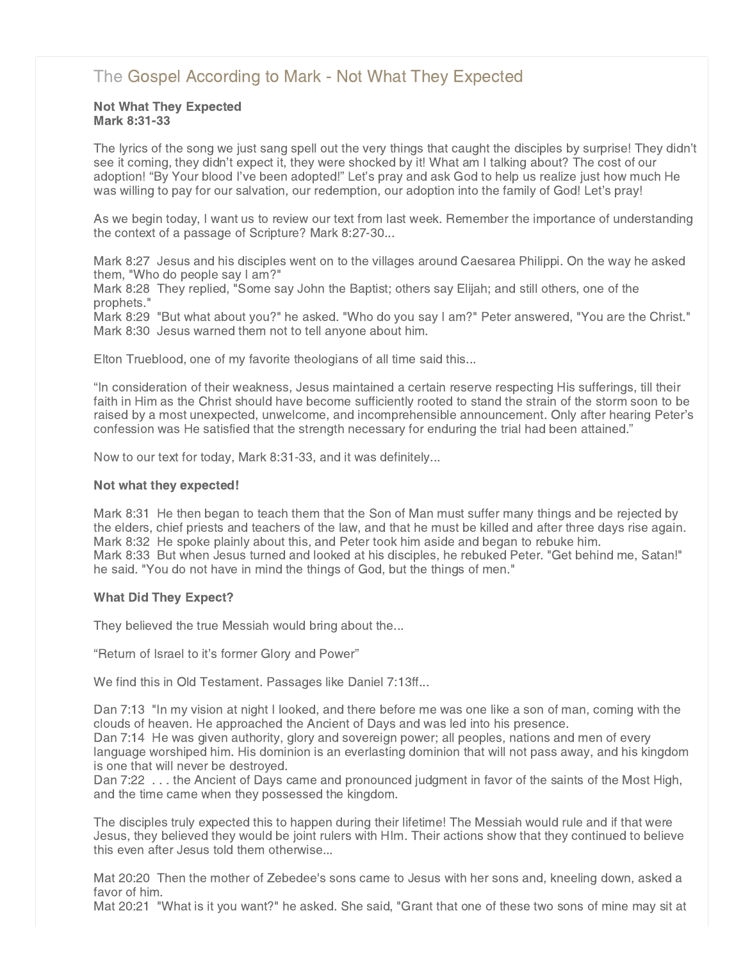# [The Gospel According to Mark - Not What They Expected](http://www.northshorechurch.net/resources/sermons/sermon-notes/440-the-gospel-according-to-mark-not-what-they-expected)

### Not What They Expected Mark 8:31-33

The lyrics of the song we just sang spell out the very things that caught the disciples by surprise! They didn't see it coming, they didn't expect it, they were shocked by it! What am I talking about? The cost of our adoption! "By Your blood I've been adopted!" Let's pray and ask God to help us realize just how much He was willing to pay for our salvation, our redemption, our adoption into the family of God! Let's pray!

As we begin today, I want us to review our text from last week. Remember the importance of understanding the context of a passage of Scripture? Mark 8:27-30...

Mark 8:27 Jesus and his disciples went on to the villages around Caesarea Philippi. On the way he asked them, "Who do people say I am?"

Mark 8:28 They replied, "Some say John the Baptist; others say Elijah; and still others, one of the prophets."

Mark 8:29 "But what about you?" he asked. "Who do you say I am?" Peter answered, "You are the Christ." Mark 8:30 Jesus warned them not to tell anyone about him.

Elton Trueblood, one of my favorite theologians of all time said this...

"In consideration of their weakness, Jesus maintained a certain reserve respecting His sufferings, till their faith in Him as the Christ should have become sufficiently rooted to stand the strain of the storm soon to be raised by a most unexpected, unwelcome, and incomprehensible announcement. Only after hearing Peter's confession was He satisfied that the strength necessary for enduring the trial had been attained."

Now to our text for today, Mark 8:31-33, and it was definitely...

#### Not what they expected!

Mark 8:31 He then began to teach them that the Son of Man must suffer many things and be rejected by the elders, chief priests and teachers of the law, and that he must be killed and after three days rise again. Mark 8:32 He spoke plainly about this, and Peter took him aside and began to rebuke him. Mark 8:33 But when Jesus turned and looked at his disciples, he rebuked Peter. "Get behind me, Satan!" he said. "You do not have in mind the things of God, but the things of men."

#### What Did They Expect?

They believed the true Messiah would bring about the...

"Return of Israel to it's former Glory and Power"

We find this in Old Testament. Passages like Daniel 7:13ff...

Dan 7:13 "In my vision at night I looked, and there before me was one like a son of man, coming with the clouds of heaven. He approached the Ancient of Days and was led into his presence.

Dan 7:14 He was given authority, glory and sovereign power; all peoples, nations and men of every language worshiped him. His dominion is an everlasting dominion that will not pass away, and his kingdom is one that will never be destroyed.

Dan 7:22 . . . the Ancient of Days came and pronounced judgment in favor of the saints of the Most High, and the time came when they possessed the kingdom.

The disciples truly expected this to happen during their lifetime! The Messiah would rule and if that were Jesus, they believed they would be joint rulers with HIm. Their actions show that they continued to believe this even after Jesus told them otherwise...

Mat 20:20 Then the mother of Zebedee's sons came to Jesus with her sons and, kneeling down, asked a favor of him.

Mat 20:21 "What is it you want?" he asked. She said, "Grant that one of these two sons of mine may sit at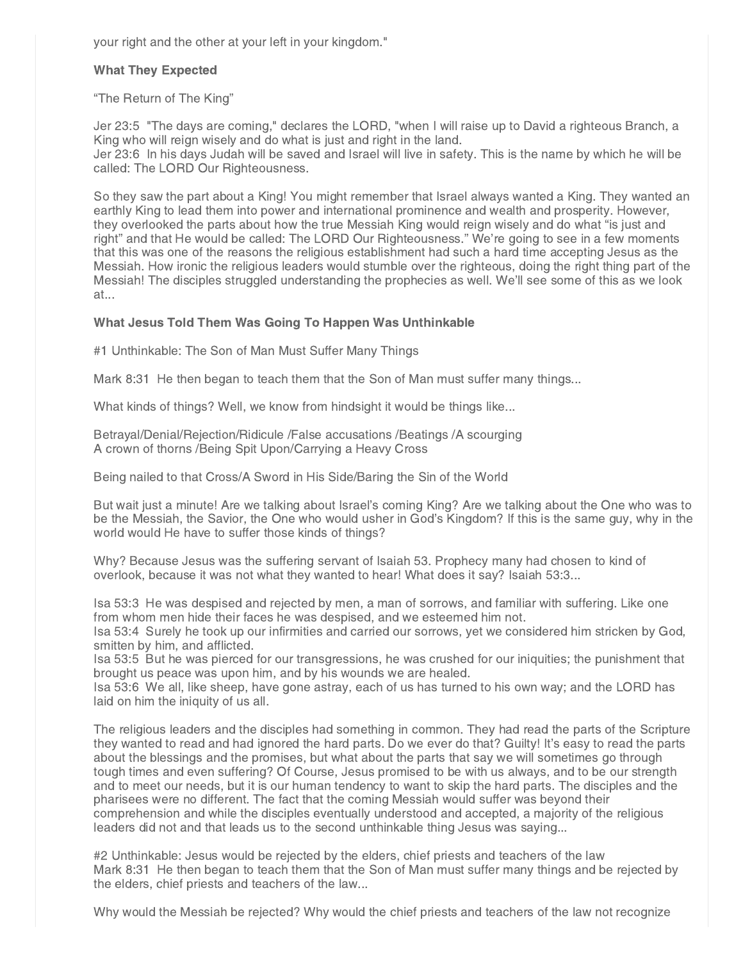your right and the other at your left in your kingdom."

## What They Expected

"The Return of The King"

Jer 23:5 "The days are coming," declares the LORD, "when I will raise up to David a righteous Branch, a King who will reign wisely and do what is just and right in the land. Jer 23:6 In his days Judah will be saved and Israel will live in safety. This is the name by which he will be called: The LORD Our Righteousness.

So they saw the part about a King! You might remember that Israel always wanted a King. They wanted an earthly King to lead them into power and international prominence and wealth and prosperity. However, they overlooked the parts about how the true Messiah King would reign wisely and do what "is just and right" and that He would be called: The LORD Our Righteousness." We're going to see in a few moments that this was one of the reasons the religious establishment had such a hard time accepting Jesus as the Messiah. How ironic the religious leaders would stumble over the righteous, doing the right thing part of the Messiah! The disciples struggled understanding the prophecies as well. We'll see some of this as we look at...

## What Jesus Told Them Was Going To Happen Was Unthinkable

#1 Unthinkable: The Son of Man Must Suffer Many Things

Mark 8:31 He then began to teach them that the Son of Man must suffer many things...

What kinds of things? Well, we know from hindsight it would be things like...

Betrayal/Denial/Rejection/Ridicule /False accusations /Beatings /A scourging A crown of thorns /Being Spit Upon/Carrying a Heavy Cross

Being nailed to that Cross/A Sword in His Side/Baring the Sin of the World

But wait just a minute! Are we talking about Israel's coming King? Are we talking about the One who was to be the Messiah, the Savior, the One who would usher in God's Kingdom? If this is the same guy, why in the world would He have to suffer those kinds of things?

Why? Because Jesus was the suffering servant of Isaiah 53. Prophecy many had chosen to kind of overlook, because it was not what they wanted to hear! What does it say? Isaiah 53:3...

Isa 53:3 He was despised and rejected by men, a man of sorrows, and familiar with suffering. Like one from whom men hide their faces he was despised, and we esteemed him not.

Isa 53:4 Surely he took up our infirmities and carried our sorrows, yet we considered him stricken by God, smitten by him, and afflicted.

Isa 53:5 But he was pierced for our transgressions, he was crushed for our iniquities; the punishment that brought us peace was upon him, and by his wounds we are healed.

Isa 53:6 We all, like sheep, have gone astray, each of us has turned to his own way; and the LORD has laid on him the iniquity of us all.

The religious leaders and the disciples had something in common. They had read the parts of the Scripture they wanted to read and had ignored the hard parts. Do we ever do that? Guilty! It's easy to read the parts about the blessings and the promises, but what about the parts that say we will sometimes go through tough times and even suffering? Of Course, Jesus promised to be with us always, and to be our strength and to meet our needs, but it is our human tendency to want to skip the hard parts. The disciples and the pharisees were no different. The fact that the coming Messiah would suffer was beyond their comprehension and while the disciples eventually understood and accepted, a majority of the religious leaders did not and that leads us to the second unthinkable thing Jesus was saying...

#2 Unthinkable: Jesus would be rejected by the elders, chief priests and teachers of the law Mark 8:31 He then began to teach them that the Son of Man must suffer many things and be rejected by the elders, chief priests and teachers of the law...

Why would the Messiah be rejected? Why would the chief priests and teachers of the law not recognize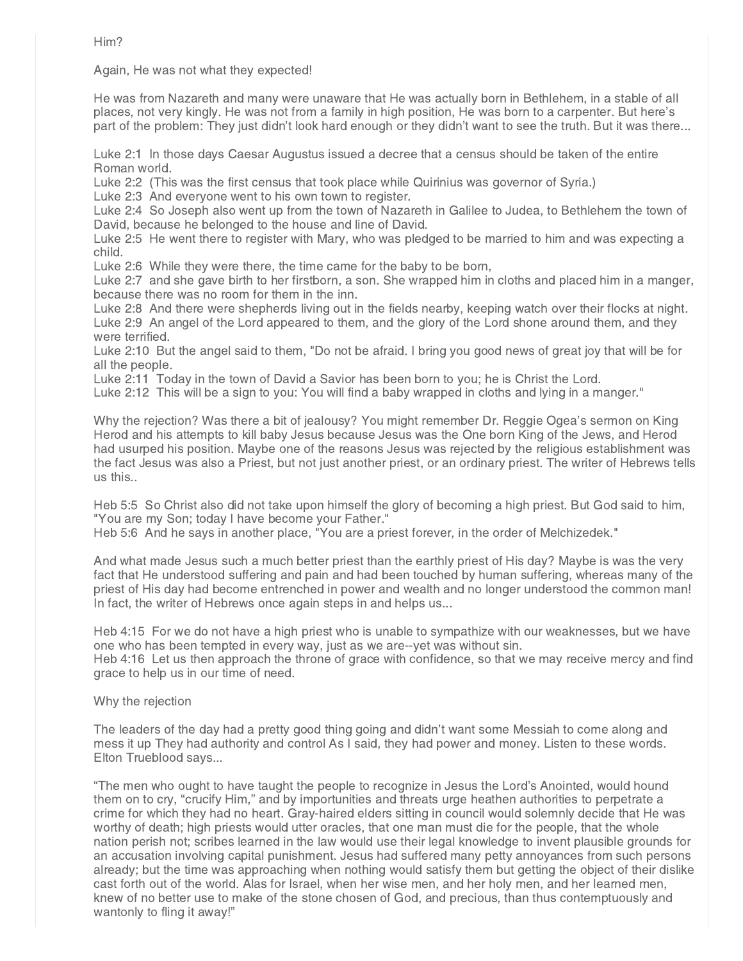Him?

Again, He was not what they expected!

He was from Nazareth and many were unaware that He was actually born in Bethlehem, in a stable of all places, not very kingly. He was not from a family in high position, He was born to a carpenter. But here's part of the problem: They just didn't look hard enough or they didn't want to see the truth. But it was there...

Luke 2:1 In those days Caesar Augustus issued a decree that a census should be taken of the entire Roman world.

Luke 2:2 (This was the first census that took place while Quirinius was governor of Syria.)

Luke 2:3 And everyone went to his own town to register.

Luke 2:4 So Joseph also went up from the town of Nazareth in Galilee to Judea, to Bethlehem the town of David, because he belonged to the house and line of David.

Luke 2:5 He went there to register with Mary, who was pledged to be married to him and was expecting a child.

Luke 2:6 While they were there, the time came for the baby to be born,

Luke 2:7 and she gave birth to her firstborn, a son. She wrapped him in cloths and placed him in a manger, because there was no room for them in the inn.

Luke 2:8 And there were shepherds living out in the fields nearby, keeping watch over their flocks at night. Luke 2:9 An angel of the Lord appeared to them, and the glory of the Lord shone around them, and they were terrified.

Luke 2:10 But the angel said to them, "Do not be afraid. I bring you good news of great joy that will be for all the people.

Luke 2:11 Today in the town of David a Savior has been born to you; he is Christ the Lord.

Luke 2:12 This will be a sign to you: You will find a baby wrapped in cloths and lying in a manger."

Why the rejection? Was there a bit of jealousy? You might remember Dr. Reggie Ogea's sermon on King Herod and his attempts to kill baby Jesus because Jesus was the One born King of the Jews, and Herod had usurped his position. Maybe one of the reasons Jesus was rejected by the religious establishment was the fact Jesus was also a Priest, but not just another priest, or an ordinary priest. The writer of Hebrews tells us this..

Heb 5:5 So Christ also did not take upon himself the glory of becoming a high priest. But God said to him, "You are my Son; today I have become your Father."

Heb 5:6 And he says in another place, "You are a priest forever, in the order of Melchizedek."

And what made Jesus such a much better priest than the earthly priest of His day? Maybe is was the very fact that He understood suffering and pain and had been touched by human suffering, whereas many of the priest of His day had become entrenched in power and wealth and no longer understood the common man! In fact, the writer of Hebrews once again steps in and helps us...

Heb 4:15 For we do not have a high priest who is unable to sympathize with our weaknesses, but we have one who has been tempted in every way, just as we are--yet was without sin.

Heb 4:16 Let us then approach the throne of grace with confidence, so that we may receive mercy and find grace to help us in our time of need.

Why the rejection

The leaders of the day had a pretty good thing going and didn't want some Messiah to come along and mess it up They had authority and control As I said, they had power and money. Listen to these words. Elton Trueblood says...

"The men who ought to have taught the people to recognize in Jesus the Lord's Anointed, would hound them on to cry, "crucify Him," and by importunities and threats urge heathen authorities to perpetrate a crime for which they had no heart. Gray-haired elders sitting in council would solemnly decide that He was worthy of death; high priests would utter oracles, that one man must die for the people, that the whole nation perish not; scribes learned in the law would use their legal knowledge to invent plausible grounds for an accusation involving capital punishment. Jesus had suffered many petty annoyances from such persons already; but the time was approaching when nothing would satisfy them but getting the object of their dislike cast forth out of the world. Alas for Israel, when her wise men, and her holy men, and her learned men, knew of no better use to make of the stone chosen of God, and precious, than thus contemptuously and wantonly to fling it away!"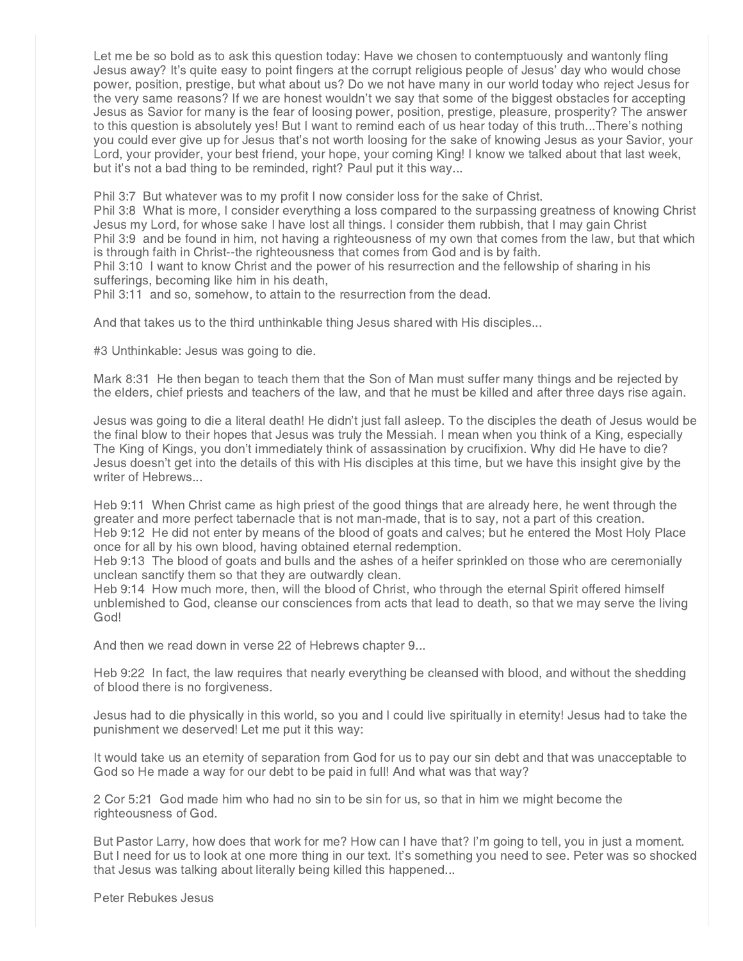Let me be so bold as to ask this question today: Have we chosen to contemptuously and wantonly fling Jesus away? It's quite easy to point fingers at the corrupt religious people of Jesus' day who would chose power, position, prestige, but what about us? Do we not have many in our world today who reject Jesus for the very same reasons? If we are honest wouldn't we say that some of the biggest obstacles for accepting Jesus as Savior for many is the fear of loosing power, position, prestige, pleasure, prosperity? The answer to this question is absolutely yes! But I want to remind each of us hear today of this truth...There's nothing you could ever give up for Jesus that's not worth loosing for the sake of knowing Jesus as your Savior, your Lord, your provider, your best friend, your hope, your coming King! I know we talked about that last week, but it's not a bad thing to be reminded, right? Paul put it this way...

Phil 3:7 But whatever was to my profit I now consider loss for the sake of Christ.

Phil 3:8 What is more, I consider everything a loss compared to the surpassing greatness of knowing Christ Jesus my Lord, for whose sake I have lost all things. I consider them rubbish, that I may gain Christ Phil 3:9 and be found in him, not having a righteousness of my own that comes from the law, but that which is through faith in Christ--the righteousness that comes from God and is by faith.

Phil 3:10 I want to know Christ and the power of his resurrection and the fellowship of sharing in his sufferings, becoming like him in his death,

Phil 3:11 and so, somehow, to attain to the resurrection from the dead.

And that takes us to the third unthinkable thing Jesus shared with His disciples...

#3 Unthinkable: Jesus was going to die.

Mark 8:31 He then began to teach them that the Son of Man must suffer many things and be rejected by the elders, chief priests and teachers of the law, and that he must be killed and after three days rise again.

Jesus was going to die a literal death! He didn't just fall asleep. To the disciples the death of Jesus would be the final blow to their hopes that Jesus was truly the Messiah. I mean when you think of a King, especially The King of Kings, you don't immediately think of assassination by crucifixion. Why did He have to die? Jesus doesn't get into the details of this with His disciples at this time, but we have this insight give by the writer of Hebrews...

Heb 9:11 When Christ came as high priest of the good things that are already here, he went through the greater and more perfect tabernacle that is not man-made, that is to say, not a part of this creation. Heb 9:12 He did not enter by means of the blood of goats and calves; but he entered the Most Holy Place once for all by his own blood, having obtained eternal redemption.

Heb 9:13 The blood of goats and bulls and the ashes of a heifer sprinkled on those who are ceremonially unclean sanctify them so that they are outwardly clean.

Heb 9:14 How much more, then, will the blood of Christ, who through the eternal Spirit offered himself unblemished to God, cleanse our consciences from acts that lead to death, so that we may serve the living God!

And then we read down in verse 22 of Hebrews chapter 9...

Heb 9:22 In fact, the law requires that nearly everything be cleansed with blood, and without the shedding of blood there is no forgiveness.

Jesus had to die physically in this world, so you and I could live spiritually in eternity! Jesus had to take the punishment we deserved! Let me put it this way:

It would take us an eternity of separation from God for us to pay our sin debt and that was unacceptable to God so He made a way for our debt to be paid in full! And what was that way?

2 Cor 5:21 God made him who had no sin to be sin for us, so that in him we might become the righteousness of God.

But Pastor Larry, how does that work for me? How can I have that? I'm going to tell, you in just a moment. But I need for us to look at one more thing in our text. It's something you need to see. Peter was so shocked that Jesus was talking about literally being killed this happened...

Peter Rebukes Jesus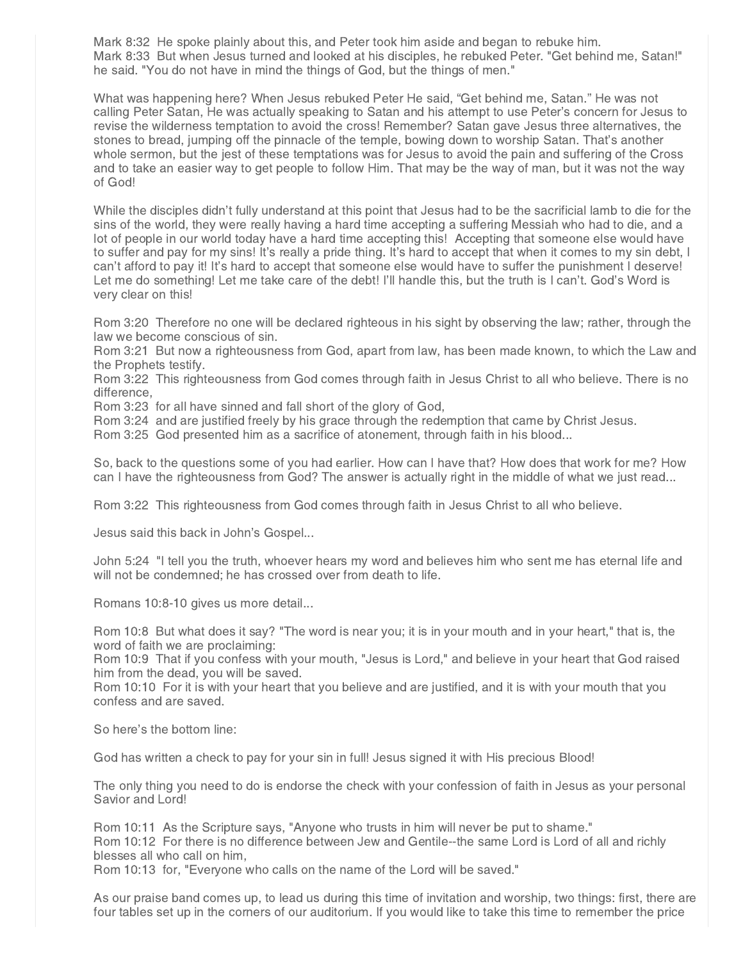Mark 8:32 He spoke plainly about this, and Peter took him aside and began to rebuke him. Mark 8:33 But when Jesus turned and looked at his disciples, he rebuked Peter. "Get behind me, Satan!" he said. "You do not have in mind the things of God, but the things of men."

What was happening here? When Jesus rebuked Peter He said, "Get behind me, Satan." He was not calling Peter Satan, He was actually speaking to Satan and his attempt to use Peter's concern for Jesus to revise the wilderness temptation to avoid the cross! Remember? Satan gave Jesus three alternatives, the stones to bread, jumping off the pinnacle of the temple, bowing down to worship Satan. That's another whole sermon, but the jest of these temptations was for Jesus to avoid the pain and suffering of the Cross and to take an easier way to get people to follow Him. That may be the way of man, but it was not the way of God!

While the disciples didn't fully understand at this point that Jesus had to be the sacrificial lamb to die for the sins of the world, they were really having a hard time accepting a suffering Messiah who had to die, and a lot of people in our world today have a hard time accepting this! Accepting that someone else would have to suffer and pay for my sins! It's really a pride thing. It's hard to accept that when it comes to my sin debt, I can't afford to pay it! It's hard to accept that someone else would have to suffer the punishment I deserve! Let me do something! Let me take care of the debt! I'll handle this, but the truth is I can't. God's Word is very clear on this!

Rom 3:20 Therefore no one will be declared righteous in his sight by observing the law; rather, through the law we become conscious of sin.

Rom 3:21 But now a righteousness from God, apart from law, has been made known, to which the Law and the Prophets testify.

Rom 3:22 This righteousness from God comes through faith in Jesus Christ to all who believe. There is no difference,

Rom 3:23 for all have sinned and fall short of the glory of God,

Rom 3:24 and are justified freely by his grace through the redemption that came by Christ Jesus.

Rom 3:25 God presented him as a sacrifice of atonement, through faith in his blood...

So, back to the questions some of you had earlier. How can I have that? How does that work for me? How can I have the righteousness from God? The answer is actually right in the middle of what we just read...

Rom 3:22 This righteousness from God comes through faith in Jesus Christ to all who believe.

Jesus said this back in John's Gospel...

John 5:24 "I tell you the truth, whoever hears my word and believes him who sent me has eternal life and will not be condemned; he has crossed over from death to life.

Romans 10:8-10 gives us more detail...

Rom 10:8 But what does it say? "The word is near you; it is in your mouth and in your heart," that is, the word of faith we are proclaiming:

Rom 10:9 That if you confess with your mouth, "Jesus is Lord," and believe in your heart that God raised him from the dead, you will be saved.

Rom 10:10 For it is with your heart that you believe and are justified, and it is with your mouth that you confess and are saved.

So here's the bottom line:

God has written a check to pay for your sin in full! Jesus signed it with His precious Blood!

The only thing you need to do is endorse the check with your confession of faith in Jesus as your personal Savior and Lord!

Rom 10:11 As the Scripture says, "Anyone who trusts in him will never be put to shame." Rom 10:12 For there is no difference between Jew and Gentile--the same Lord is Lord of all and richly blesses all who call on him,

Rom 10:13 for, "Everyone who calls on the name of the Lord will be saved."

As our praise band comes up, to lead us during this time of invitation and worship, two things: first, there are four tables set up in the corners of our auditorium. If you would like to take this time to remember the price